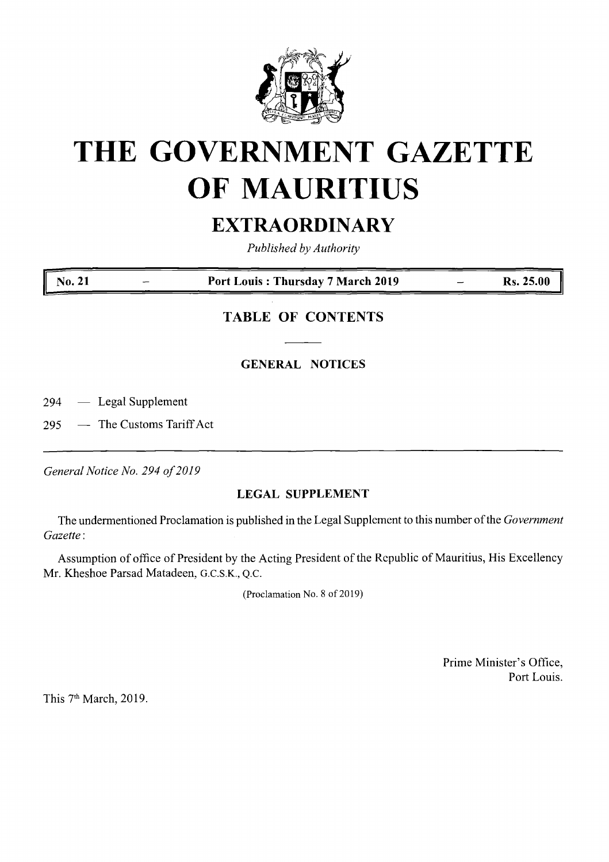

# **THE GOVERNMENT GAZETTE OF MAURITIUS**

## **EXTRAORDINARY**

*Published by Authority*

**No. 21 Port Louis : Thursday 7 March 2019 Rs. 25.00**

### **TABLE OF CONTENTS**

#### **GENERAL NOTICES**

294 — Legal Supplement

295 — The Customs Tariff Act

*General Notice No. 294 of2019*

#### **LEGAL SUPPLEMENT**

The undermentioned Proclamation is published in the Legal Supplement to this number ofthe *Government Gazette:*

Assumption of office of President by the Acting President of the Republic of Mauritius, His Excellency Mr. Kheshoe Parsad Matadeen, G.C.S.K., Q.C.

(Proclamation No. 8 of 2019)

Prime Minister's Office, Port Louis.

This 7<sup>th</sup> March, 2019.